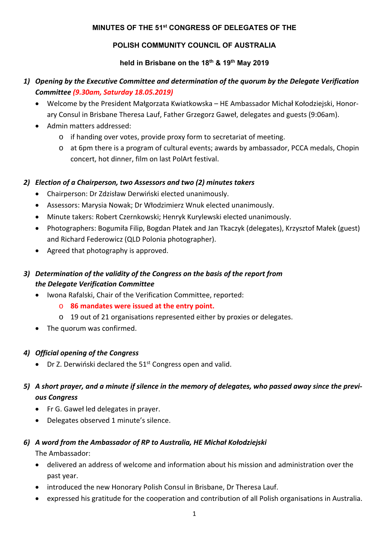### **MINUTES OF THE 51st CONGRESS OF DELEGATES OF THE**

### **POLISH COMMUNITY COUNCIL OF AUSTRALIA**

### **held in Brisbane on the 18th & 19th May 2019**

# *1) Opening by the Executive Committee and determination of the quorum by the Delegate Verification Committee (9.30am, Saturday 18.05.2019)*

- Welcome by the President Małgorzata Kwiatkowska HE Ambassador Michał Kołodziejski, Honorary Consul in Brisbane Theresa Lauf, Father Grzegorz Gaweł, delegates and guests (9:06am).
- Admin matters addressed:
	- o if handing over votes, provide proxy form to secretariat of meeting.
	- o at 6pm there is a program of cultural events; awards by ambassador, PCCA medals, Chopin concert, hot dinner, film on last PolArt festival.

### *2) Election of a Chairperson, two Assessors and two (2) minutes takers*

- Chairperson: Dr Zdzisław Derwiński elected unanimously.
- Assessors: Marysia Nowak; Dr Włodzimierz Wnuk elected unanimously.
- Minute takers: Robert Czernkowski; Henryk Kurylewski elected unanimously.
- Photographers: Bogumiła Filip, Bogdan Płatek and Jan Tkaczyk (delegates), Krzysztof Małek (guest) and Richard Federowicz (QLD Polonia photographer).
- Agreed that photography is approved.

# *3) Determination of the validity of the Congress on the basis of the report from the Delegate Verification Committee*

- Iwona Rafalski, Chair of the Verification Committee, reported:
	- o **86 mandates were issued at the entry point.**
	- o 19 out of 21 organisations represented either by proxies or delegates.
- The quorum was confirmed.

### *4) Official opening of the Congress*

 $\bullet$  Dr Z. Derwiński declared the 51<sup>st</sup> Congress open and valid.

# *5) A short prayer, and a minute if silence in the memory of delegates, who passed away since the previ‐ ous Congress*

- Fr G. Gaweł led delegates in prayer.
- Delegates observed 1 minute's silence.

### *6) A word from the Ambassador of RP to Australia, HE Michał Kołodziejski*

The Ambassador:

- delivered an address of welcome and information about his mission and administration over the past year.
- introduced the new Honorary Polish Consul in Brisbane, Dr Theresa Lauf.
- expressed his gratitude for the cooperation and contribution of all Polish organisations in Australia.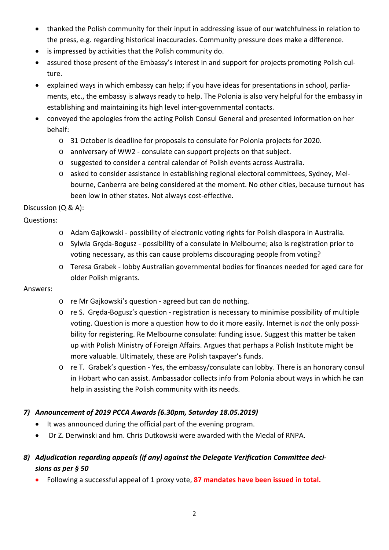- thanked the Polish community for their input in addressing issue of our watchfulness in relation to the press, e.g. regarding historical inaccuracies. Community pressure does make a difference.
- is impressed by activities that the Polish community do.
- assured those present of the Embassy's interest in and support for projects promoting Polish culture.
- explained ways in which embassy can help; if you have ideas for presentations in school, parlia‐ ments, etc., the embassy is always ready to help. The Polonia is also very helpful for the embassy in establishing and maintaining its high level inter‐governmental contacts.
- conveyed the apologies from the acting Polish Consul General and presented information on her behalf:
	- o 31 October is deadline for proposals to consulate for Polonia projects for 2020.
	- o anniversary of WW2 ‐ consulate can support projects on that subject.
	- o suggested to consider a central calendar of Polish events across Australia.
	- o asked to consider assistance in establishing regional electoral committees, Sydney, Mel‐ bourne, Canberra are being considered at the moment. No other cities, because turnout has been low in other states. Not always cost-effective.

Discussion (Q & A):

Questions:

- o Adam Gajkowski ‐ possibility of electronic voting rights for Polish diaspora in Australia.
- o Sylwia Grȩda‐Bogusz ‐ possibility of a consulate in Melbourne; also is registration prior to voting necessary, as this can cause problems discouraging people from voting?
- o Teresa Grabek ‐ lobby Australian governmental bodies for finances needed for aged care for older Polish migrants.

### Answers:

- o re Mr Gajkowski's question ‐ agreed but can do nothing.
- o re S. Gręda-Bogusz's question registration is necessary to minimise possibility of multiple voting. Question is more a question how to do it more easily. Internet is *not* the only possi‐ bility for registering. Re Melbourne consulate: funding issue. Suggest this matter be taken up with Polish Ministry of Foreign Affairs. Argues that perhaps a Polish Institute might be more valuable. Ultimately, these are Polish taxpayer's funds.
- o re T. Grabek's question ‐ Yes, the embassy/consulate can lobby. There is an honorary consul in Hobart who can assist. Ambassador collects info from Polonia about ways in which he can help in assisting the Polish community with its needs.

## *7) Announcement of 2019 PCCA Awards (6.30pm, Saturday 18.05.2019)*

- It was announced during the official part of the evening program.
- Dr Z. Derwinski and hm. Chris Dutkowski were awarded with the Medal of RNPA.
- *8) Adjudication regarding appeals (if any) against the Delegate Verification Committee deci‐ sions as per § 50* 
	- Following a successful appeal of 1 proxy vote, **87 mandates have been issued in total.**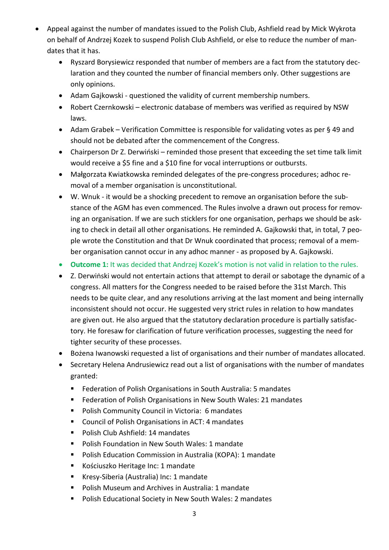- Appeal against the number of mandates issued to the Polish Club, Ashfield read by Mick Wykrota on behalf of Andrzej Kozek to suspend Polish Club Ashfield, or else to reduce the number of man‐ dates that it has.
	- Ryszard Borysiewicz responded that number of members are a fact from the statutory declaration and they counted the number of financial members only. Other suggestions are only opinions.
	- Adam Gajkowski ‐ questioned the validity of current membership numbers.
	- Robert Czernkowski electronic database of members was verified as required by NSW laws.
	- Adam Grabek Verification Committee is responsible for validating votes as per § 49 and should not be debated after the commencement of the Congress.
	- Chairperson Dr Z. Derwiński reminded those present that exceeding the set time talk limit would receive a \$5 fine and a \$10 fine for vocal interruptions or outbursts.
	- Małgorzata Kwiatkowska reminded delegates of the pre‐congress procedures; adhoc re‐ moval of a member organisation is unconstitutional.
	- W. Wnuk ‐ it would be a shocking precedent to remove an organisation before the sub‐ stance of the AGM has even commenced. The Rules involve a drawn out process for remov‐ ing an organisation. If we are such sticklers for one organisation, perhaps we should be ask‐ ing to check in detail all other organisations. He reminded A. Gajkowski that, in total, 7 peo‐ ple wrote the Constitution and that Dr Wnuk coordinated that process; removal of a mem‐ ber organisation cannot occur in any adhoc manner ‐ as proposed by A. Gajkowski.
	- **Outcome 1:** It was decided that Andrzej Kozek's motion is not valid in relation to the rules.
	- Z. Derwiṅski would not entertain actions that attempt to derail or sabotage the dynamic of a congress. All matters for the Congress needed to be raised before the 31st March. This needs to be quite clear, and any resolutions arriving at the last moment and being internally inconsistent should not occur. He suggested very strict rules in relation to how mandates are given out. He also argued that the statutory declaration procedure is partially satisfactory. He foresaw for clarification of future verification processes, suggesting the need for tighter security of these processes.
	- Bożena Iwanowski requested a list of organisations and their number of mandates allocated.
	- Secretary Helena Andrusiewicz read out a list of organisations with the number of mandates granted:
		- **Federation of Polish Organisations in South Australia: 5 mandates**
		- Federation of Polish Organisations in New South Wales: 21 mandates
		- Polish Community Council in Victoria: 6 mandates
		- Council of Polish Organisations in ACT: 4 mandates
		- Polish Club Ashfield: 14 mandates
		- **Polish Foundation in New South Wales: 1 mandate**
		- Polish Education Commission in Australia (KOPA): 1 mandate
		- Kościuszko Heritage Inc: 1 mandate
		- Kresy‐Siberia (Australia) Inc: 1 mandate
		- **Polish Museum and Archives in Australia: 1 mandate**
		- Polish Educational Society in New South Wales: 2 mandates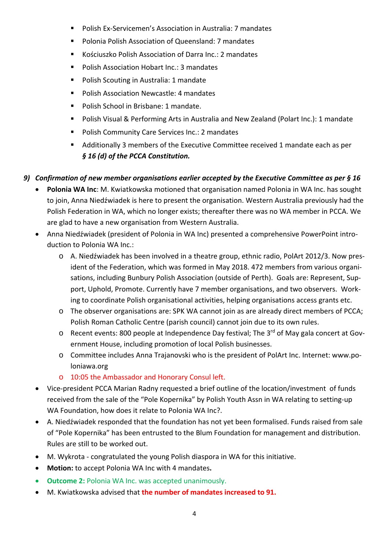- Polish Ex‐Servicemen's Association in Australia: 7 mandates
- Polonia Polish Association of Queensland: 7 mandates
- Kościuszko Polish Association of Darra Inc.: 2 mandates
- Polish Association Hobart Inc.: 3 mandates
- **Polish Scouting in Australia: 1 mandate**
- Polish Association Newcastle: 4 mandates
- **Polish School in Brisbane: 1 mandate.**
- Polish Visual & Performing Arts in Australia and New Zealand (Polart Inc.): 1 mandate
- Polish Community Care Services Inc.: 2 mandates
- Additionally 3 members of the Executive Committee received 1 mandate each as per *§ 16 (d) of the PCCA Constitution.*

# *9) Confirmation of new member organisations earlier accepted by the Executive Committee as per § 16*

- **Polonia WA Inc**: M. Kwiatkowska motioned that organisation named Polonia in WA Inc. has sought to join, Anna Niedźwiadek is here to present the organisation. Western Australia previously had the Polish Federation in WA, which no longer exists; thereafter there was no WA member in PCCA. We are glad to have a new organisation from Western Australia.
- Anna Niedźwiadek (president of Polonia in WA Inc) presented a comprehensive PowerPoint introduction to Polonia WA Inc.:
	- o A. Niedźwiadek has been involved in a theatre group, ethnic radio, PolArt 2012/3. Now pres‐ ident of the Federation, which was formed in May 2018. 472 members from various organi‐ sations, including Bunbury Polish Association (outside of Perth). Goals are: Represent, Support, Uphold, Promote. Currently have 7 member organisations, and two observers. Work‐ ing to coordinate Polish organisational activities, helping organisations access grants etc.
	- o The observer organisations are: SPK WA cannot join as are already direct members of PCCA; Polish Roman Catholic Centre (parish council) cannot join due to its own rules.
	- o Recent events: 800 people at Independence Day festival; The 3<sup>rd</sup> of May gala concert at Government House, including promotion of local Polish businesses.
	- o Committee includes Anna Trajanovski who is the president of PolArt Inc. Internet: www.po‐ loniawa.org
	- o 10:05 the Ambassador and Honorary Consul left.
- Vice-president PCCA Marian Radny requested a brief outline of the location/investment of funds received from the sale of the "Pole Kopernika" by Polish Youth Assn in WA relating to setting‐up WA Foundation, how does it relate to Polonia WA Inc?.
- A. Niedźwiadek responded that the foundation has not yet been formalised. Funds raised from sale of "Pole Kopernika" has been entrusted to the Blum Foundation for management and distribution. Rules are still to be worked out.
- M. Wykrota congratulated the young Polish diaspora in WA for this initiative.
- **Motion:** to accept Polonia WA Inc with 4 mandates**.**
- **Outcome 2:** Polonia WA Inc. was accepted unanimously.
- M. Kwiatkowska advised that **the number of mandates increased to 91.**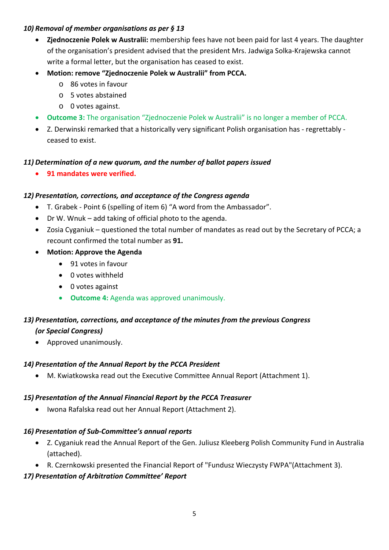### *10) Removal of member organisations as per § 13*

- **Zjednoczenie Polek w Australii:** membership fees have not been paid for last 4 years. The daughter of the organisation's president advised that the president Mrs. Jadwiga Solka‐Krajewska cannot write a formal letter, but the organisation has ceased to exist.
- **Motion: remove "Zjednoczenie Polek w Australii" from PCCA.** 
	- o 86 votes in favour
	- o 5 votes abstained
	- o 0 votes against.
- **Outcome 3:** The organisation "Zjednoczenie Polek w Australii" is no longer a member of PCCA.
- Z. Derwinski remarked that a historically very significant Polish organisation has ‐ regrettably ‐ ceased to exist.

### *11) Determination of a new quorum, and the number of ballot papers issued*

**91 mandates were verified.** 

### *12) Presentation, corrections, and acceptance of the Congress agenda*

- T. Grabek ‐ Point 6 (spelling of item 6) "A word from the Ambassador".
- Dr W. Wnuk add taking of official photo to the agenda.
- Zosia Cyganiuk questioned the total number of mandates as read out by the Secretary of PCCA; a recount confirmed the total number as **91.**
- **Motion: Approve the Agenda** 
	- 91 votes in favour
	- 0 votes withheld
	- 0 votes against
	- **Outcome 4:** Agenda was approved unanimously.

## *13) Presentation, corrections, and acceptance of the minutes from the previous Congress*

### *(or Special Congress)*

Approved unanimously.

### *14) Presentation of the Annual Report by the PCCA President*

M. Kwiatkowska read out the Executive Committee Annual Report (Attachment 1).

### *15) Presentation of the Annual Financial Report by the PCCA Treasurer*

Iwona Rafalska read out her Annual Report (Attachment 2).

### *16) Presentation of Sub‐Committee's annual reports*

- Z. Cyganiuk read the Annual Report of the Gen. Juliusz Kleeberg Polish Community Fund in Australia (attached).
- R. Czernkowski presented the Financial Report of "Fundusz Wieczysty FWPA"(Attachment 3).

### *17) Presentation of Arbitration Committee' Report*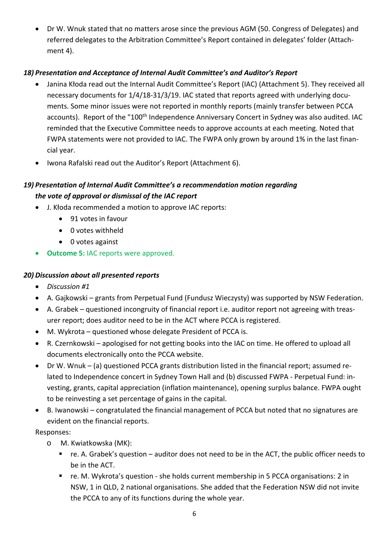Dr W. Wnuk stated that no matters arose since the previous AGM (50. Congress of Delegates) and referred delegates to the Arbitration Committee's Report contained in delegates' folder (Attach‐ ment 4).

## *18) Presentation and Acceptance of Internal Audit Committee's and Auditor's Report*

- Janina Kłoda read out the Internal Audit Committee's Report (IAC) (Attachment 5). They received all necessary documents for  $1/4/18-31/3/19$ . IAC stated that reports agreed with underlying documents. Some minor issues were not reported in monthly reports (mainly transfer between PCCA accounts). Report of the "100<sup>th</sup> Independence Anniversary Concert in Sydney was also audited. IAC reminded that the Executive Committee needs to approve accounts at each meeting. Noted that FWPA statements were not provided to IAC. The FWPA only grown by around 1% in the last finan‐ cial year.
- Iwona Rafalski read out the Auditor's Report (Attachment 6).

# *19) Presentation of Internal Audit Committee's a recommendation motion regarding the vote of approval or dismissal of the IAC report*

- J. Kłoda recommended a motion to approve IAC reports:
	- 91 votes in favour
	- 0 votes withheld
	- 0 votes against
- **Outcome 5:** IAC reports were approved.

## *20) Discussion about all presented reports*

- *Discussion #1*
- A. Gajkowski grants from Perpetual Fund (Fundusz Wieczysty) was supported by NSW Federation.
- A. Grabek questioned incongruity of financial report i.e. auditor report not agreeing with treas‐ urer report; does auditor need to be in the ACT where PCCA is registered.
- M. Wykrota questioned whose delegate President of PCCA is.
- R. Czernkowski apologised for not getting books into the IAC on time. He offered to upload all documents electronically onto the PCCA website.
- Dr W. Wnuk (a) questioned PCCA grants distribution listed in the financial report; assumed re‐ lated to Independence concert in Sydney Town Hall and (b) discussed FWPA - Perpetual Fund: investing, grants, capital appreciation (inflation maintenance), opening surplus balance. FWPA ought to be reinvesting a set percentage of gains in the capital.
- B. Iwanowski congratulated the financial management of PCCA but noted that no signatures are evident on the financial reports.

Responses:

- o M. Kwiatkowska (MK):
	- $\blacksquare$  re. A. Grabek's question auditor does not need to be in the ACT, the public officer needs to be in the ACT.
	- re. M. Wykrota's question she holds current membership in 5 PCCA organisations: 2 in NSW, 1 in QLD, 2 national organisations. She added that the Federation NSW did not invite the PCCA to any of its functions during the whole year.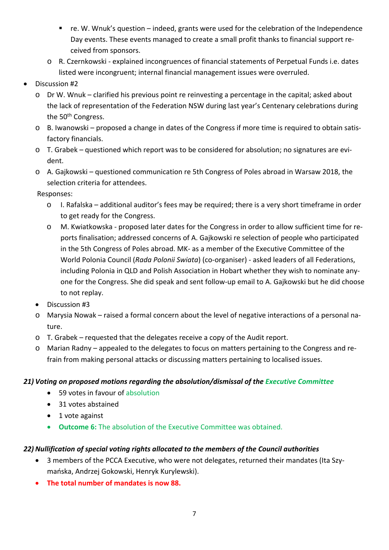- re. W. Wnuk's question indeed, grants were used for the celebration of the Independence Day events. These events managed to create a small profit thanks to financial support received from sponsors.
- o R. Czernkowski ‐ explained incongruences of financial statements of Perpetual Funds i.e. dates listed were incongruent; internal financial management issues were overruled.
- Discussion #2
	- o Dr W. Wnuk clarified his previous point re reinvesting a percentage in the capital; asked about the lack of representation of the Federation NSW during last year's Centenary celebrations during the 50<sup>th</sup> Congress.
	- o B. Iwanowski proposed a change in dates of the Congress if more time is required to obtain satis‐ factory financials.
	- o T. Grabek questioned which report was to be considered for absolution; no signatures are evi‐ dent.
	- o A. Gajkowski questioned communication re 5th Congress of Poles abroad in Warsaw 2018, the selection criteria for attendees.

Responses:

- o I. Rafalska additional auditor's fees may be required; there is a very short timeframe in order to get ready for the Congress.
- o M. Kwiatkowska ‐ proposed later dates for the Congress in order to allow sufficient time for re‐ ports finalisation; addressed concerns of A. Gajkowski re selection of people who participated in the 5th Congress of Poles abroad. MK‐ as a member of the Executive Committee of the World Polonia Council (*Rada Polonii Swiata*) (co‐organiser) ‐ asked leaders of all Federations, including Polonia in QLD and Polish Association in Hobart whether they wish to nominate any‐ one for the Congress. She did speak and sent follow‐up email to A. Gajkowski but he did choose to not replay.
- Discussion #3
- o Marysia Nowak raised a formal concern about the level of negative interactions of a personal na‐ ture.
- o T. Grabek requested that the delegates receive a copy of the Audit report.
- o Marian Radny appealed to the delegates to focus on matters pertaining to the Congress and re‐ frain from making personal attacks or discussing matters pertaining to localised issues.

## *21) Voting on proposed motions regarding the absolution/dismissal of the Executive Committee*

- 59 votes in favour of absolution
- 31 votes abstained
- 1 vote against
- **Outcome 6:** The absolution of the Executive Committee was obtained.

## *22) Nullification of special voting rights allocated to the members of the Council authorities*

- 3 members of the PCCA Executive, who were not delegates, returned their mandates (Ita Szymańska, Andrzej Gokowski, Henryk Kurylewski).
- **The total number of mandates is now 88.**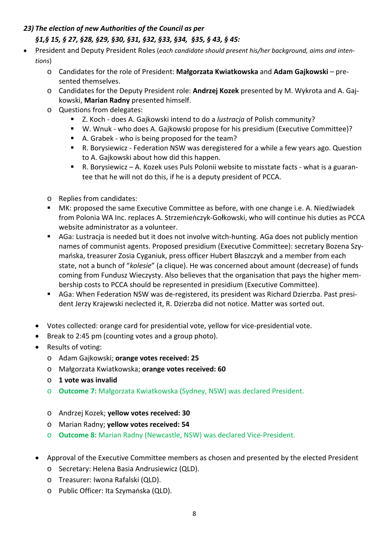## *23) The election of new Authorities of the Council as per*

# *§1,§ 15, § 27, §28, §29, §30, §31, §32, §33, §34, §35, § 43, § 45:*

- President and Deputy President Roles (*each candidate should present his/her background, aims and inten‐ tions*)
	- o Candidates for the role of President: **Małgorzata Kwiatkowska** and **Adam Gajkowski** pre‐ sented themselves.
	- o Candidates for the Deputy President role: **Andrzej Kozek** presented by M. Wykrota and A. Gaj‐ kowski, **Marian Radny** presented himself.
	- o Questions from delegates:
		- Z. Koch ‐ does A. Gajkowski intend to do a *lustracja* of Polish community?
		- W. Wnuk who does A. Gajkowski propose for his presidium (Executive Committee)?
		- A. Grabek who is being proposed for the team?
		- R. Borysiewicz Federation NSW was deregistered for a while a few years ago. Question to A. Gajkowski about how did this happen.
		- R. Borysiewicz A. Kozek uses Puls Polonii website to misstate facts what is a guarantee that he will not do this, if he is a deputy president of PCCA.
	- o Replies from candidates:
	- MK: proposed the same Executive Committee as before, with one change i.e. A. Niedźwiadek from Polonia WA Inc. replaces A. Strzemieṅczyk‐Gołkowski, who will continue his duties as PCCA website administrator as a volunteer.
	- AGa: Lustracja is needed but it does not involve witch-hunting. AGa does not publicly mention names of communist agents. Proposed presidium (Executive Committee): secretary Bozena Szy‐ mańska, treasurer Zosia Cyganiuk, press officer Hubert Błaszczyk and a member from each state, not a bunch of "*kolesie*" (a clique). He was concerned about amount (decrease) of funds coming from Fundusz Wieczysty. Also believes that the organisation that pays the higher mem‐ bership costs to PCCA should be represented in presidium (Executive Committee).
	- AGa: When Federation NSW was de-registered, its president was Richard Dzierzba. Past president Jerzy Krajewski neclected it, R. Dzierzba did not notice. Matter was sorted out.
	- Votes collected: orange card for presidential vote, yellow for vice‐presidential vote.
	- Break to 2:45 pm (counting votes and a group photo).
	- Results of voting:
		- o Adam Gajkowski; **orange votes received: 25**
		- o Małgorzata Kwiatkowska; **orange votes received: 60**
		- o **1 vote was invalid**
		- o **Outcome 7:** Małgorzata Kwiatkowska (Sydney, NSW) was declared President.
		- o Andrzej Kozek; **yellow votes received: 30**
		- o Marian Radny; **yellow votes received: 54**
		- o **Outcome 8:** Marian Radny (Newcastle, NSW) was declared Vice‐President.
	- Approval of the Executive Committee members as chosen and presented by the elected President
		- o Secretary: Helena Basia Andrusiewicz (QLD).
		- o Treasurer: Iwona Rafalski (QLD).
		- o Public Officer: Ita Szymaṅska (QLD).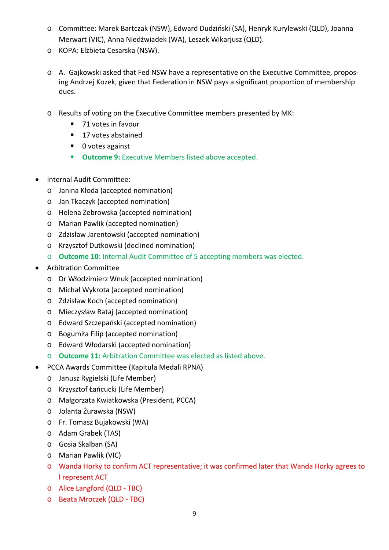- o Committee: Marek Bartczak (NSW), Edward Dudziński (SA), Henryk Kurylewski (QLD), Joanna Merwart (VIC), Anna Niedźwiadek (WA), Leszek Wikarjusz (QLD).
- o KOPA: Elżbieta Cesarska (NSW).
- o A. Gajkowski asked that Fed NSW have a representative on the Executive Committee, propos‐ ing Andrzej Kozek, given that Federation in NSW pays a significant proportion of membership dues.
- o Results of voting on the Executive Committee members presented by MK:
	- 71 votes in favour
	- 17 votes abstained
	- 0 votes against
	- **Outcome 9:** Executive Members listed above accepted.
- Internal Audit Committee:
	- o Janina Kłoda (accepted nomination)
	- o Jan Tkaczyk (accepted nomination)
	- o Helena Żebrowska (accepted nomination)
	- o Marian Pawlik (accepted nomination)
	- o Zdzisław Jarentowski (accepted nomination)
	- o Krzysztof Dutkowski (declined nomination)
	- o **Outcome 10:** Internal Audit Committee of 5 accepting members was elected.
- Arbitration Committee
	- o Dr Włodzimierz Wnuk (accepted nomination)
	- o Michał Wykrota (accepted nomination)
	- o Zdzisław Koch (accepted nomination)
	- o Mieczysław Rataj (accepted nomination)
	- o Edward Szczepański (accepted nomination)
	- o Bogumiła Filip (accepted nomination)
	- o Edward Włodarski (accepted nomination)
	- o **Outcome 11:** Arbitration Committee was elected as listed above.
- PCCA Awards Committee (Kapituła Medali RPNA)
	- o Janusz Rygielski (Life Member)
	- o Krzysztof Łańcucki (Life Member)
	- o Małgorzata Kwiatkowska (President, PCCA)
	- o Jolanta Żurawska (NSW)
	- o Fr. Tomasz Bujakowski (WA)
	- o Adam Grabek (TAS)
	- o Gosia Skalban (SA)
	- o Marian Pawlik (VIC)
	- o Wanda Horky to confirm ACT representative; it was confirmed later that Wanda Horky agrees to l represent ACT
	- o Alice Langford (QLD ‐ TBC)
	- o Beata Mroczek (QLD ‐ TBC)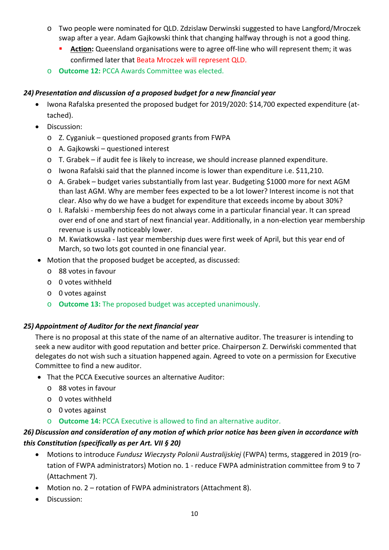- o Two people were nominated for QLD. Zdzislaw Derwinski suggested to have Langford/Mroczek swap after a year. Adam Gajkowski think that changing halfway through is not a good thing.
	- **Action:** Queensland organisations were to agree off-line who will represent them; it was confirmed later that Beata Mroczek will represent QLD.
- o **Outcome 12:** PCCA Awards Committee was elected.

## *24) Presentation and discussion of a proposed budget for a new financial year*

- Iwona Rafalska presented the proposed budget for 2019/2020: \$14,700 expected expenditure (attached).
- **•** Discussion:
	- o Z. Cyganiuk questioned proposed grants from FWPA
	- o A. Gajkowski questioned interest
	- o T. Grabek if audit fee is likely to increase, we should increase planned expenditure.
	- o Iwona Rafalski said that the planned income is lower than expenditure i.e. \$11,210.
	- o A. Grabek budget varies substantially from last year. Budgeting \$1000 more for next AGM than last AGM. Why are member fees expected to be a lot lower? Interest income is not that clear. Also why do we have a budget for expenditure that exceeds income by about 30%?
	- o I. Rafalski ‐ membership fees do not always come in a particular financial year. It can spread over end of one and start of next financial year. Additionally, in a non‐election year membership revenue is usually noticeably lower.
	- o M. Kwiatkowska ‐ last year membership dues were first week of April, but this year end of March, so two lots got counted in one financial year.
- Motion that the proposed budget be accepted, as discussed:
	- o 88 votes in favour
	- o 0 votes withheld
	- o 0 votes against
	- o **Outcome 13:** The proposed budget was accepted unanimously.

## *25) Appointment of Auditor for the next financial year*

There is no proposal at this state of the name of an alternative auditor. The treasurer is intending to seek a new auditor with good reputation and better price. Chairperson Z. Derwiński commented that delegates do not wish such a situation happened again. Agreed to vote on a permission for Executive Committee to find a new auditor.

- That the PCCA Executive sources an alternative Auditor:
	- o 88 votes in favour
	- o 0 votes withheld
	- o 0 votes against
	- o **Outcome 14:** PCCA Executive is allowed to find an alternative auditor.

# *26) Discussion and consideration of any motion of which prior notice has been given in accordance with this Constitution (specifically as per Art. VII § 20)*

- Motions to introduce *Fundusz Wieczysty Polonii Australijskiej* (FWPA) terms, staggered in 2019 (ro‐ tation of FWPA administrators) Motion no. 1 ‐ reduce FWPA administration committee from 9 to 7 (Attachment 7).
- Motion no. 2 rotation of FWPA administrators (Attachment 8).
- **•** Discussion: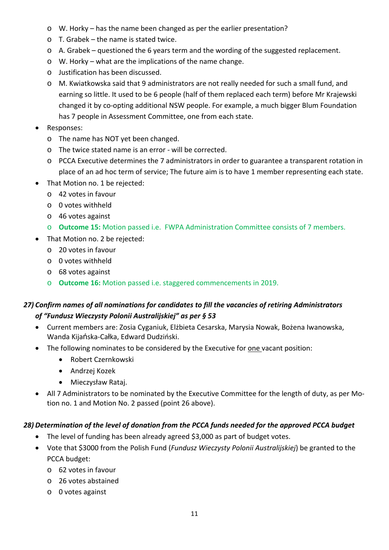- o W. Horky has the name been changed as per the earlier presentation?
- o T. Grabek the name is stated twice.
- o A. Grabek questioned the 6 years term and the wording of the suggested replacement.
- o W. Horky what are the implications of the name change.
- o Justification has been discussed.
- o M. Kwiatkowska said that 9 administrators are not really needed for such a small fund, and earning so little. It used to be 6 people (half of them replaced each term) before Mr Krajewski changed it by co‐opting additional NSW people. For example, a much bigger Blum Foundation has 7 people in Assessment Committee, one from each state.
- Responses:
	- o The name has NOT yet been changed.
	- o The twice stated name is an error ‐ will be corrected.
	- o PCCA Executive determines the 7 administrators in order to guarantee a transparent rotation in place of an ad hoc term of service; The future aim is to have 1 member representing each state.
- That Motion no. 1 be rejected:
	- o 42 votes in favour
	- o 0 votes withheld
	- o 46 votes against
	- o **Outcome 15:** Motion passed i.e. FWPA Administration Committee consists of 7 members.
- That Motion no. 2 be rejected:
	- o 20 votes in favour
	- o 0 votes withheld
	- o 68 votes against
	- o **Outcome 16:** Motion passed i.e. staggered commencements in 2019.

# *27) Confirm names of all nominations for candidates to fill the vacancies of retiring Administrators of "Fundusz Wieczysty Polonii Australijskiej" as per § 53*

- Current members are: Zosia Cyganiuk, Elżbieta Cesarska, Marysia Nowak, Bożena Iwanowska, Wanda Kijańska‐Całka, Edward Dudziński.
- The following nominates to be considered by the Executive for one vacant position:
	- Robert Czernkowski
	- Andrzej Kozek
	- Mieczysław Rataj.
- All 7 Administrators to be nominated by the Executive Committee for the length of duty, as per Motion no. 1 and Motion No. 2 passed (point 26 above).

### *28) Determination of the level of donation from the PCCA funds needed for the approved PCCA budget*

- The level of funding has been already agreed \$3,000 as part of budget votes.
- Vote that \$3000 from the Polish Fund (*Fundusz Wieczysty Polonii Australijskiej*) be granted to the PCCA budget:
	- o 62 votes in favour
	- o 26 votes abstained
	- o 0 votes against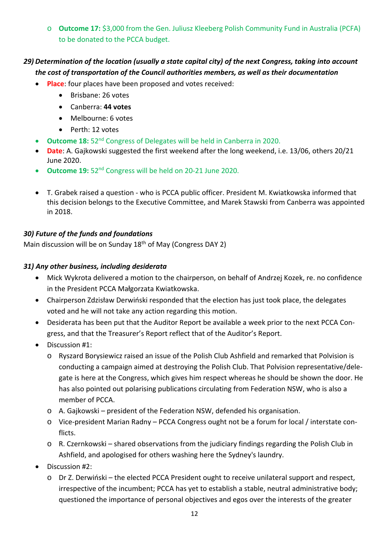o **Outcome 17:** \$3,000 from the Gen. Juliusz Kleeberg Polish Community Fund in Australia (PCFA) to be donated to the PCCA budget.

# *29) Determination of the location (usually a state capital city) of the next Congress, taking into account the cost of transportation of the Council authorities members, as well as their documentation*

- **Place**: four places have been proposed and votes received:
	- Brisbane: 26 votes
	- Canberra: **44 votes**
	- Melbourne: 6 votes
	- Perth: 12 votes
- **Outcome 18:** 52<sup>nd</sup> Congress of Delegates will be held in Canberra in 2020.
- **Date**: A. Gajkowski suggested the first weekend after the long weekend, i.e. 13/06, others 20/21 June 2020.
- **Outcome 19:** 52nd Congress will be held on 20‐21 June 2020.
- T. Grabek raised a question ‐ who is PCCA public officer. President M. Kwiatkowska informed that this decision belongs to the Executive Committee, and Marek Stawski from Canberra was appointed in 2018.

### *30) Future of the funds and foundations*

Main discussion will be on Sunday 18<sup>th</sup> of May (Congress DAY 2)

### *31) Any other business, including desiderata*

- Mick Wykrota delivered a motion to the chairperson, on behalf of Andrzej Kozek, re. no confidence in the President PCCA Małgorzata Kwiatkowska.
- Chairperson Zdzisław Derwiński responded that the election has just took place, the delegates voted and he will not take any action regarding this motion.
- Desiderata has been put that the Auditor Report be available a week prior to the next PCCA Congress, and that the Treasurer's Report reflect that of the Auditor's Report.
- Discussion #1:
	- o Ryszard Borysiewicz raised an issue of the Polish Club Ashfield and remarked that Polvision is conducting a campaign aimed at destroying the Polish Club. That Polvision representative/dele‐ gate is here at the Congress, which gives him respect whereas he should be shown the door. He has also pointed out polarising publications circulating from Federation NSW, who is also a member of PCCA.
	- o A. Gajkowski president of the Federation NSW, defended his organisation.
	- o Vice‐president Marian Radny PCCA Congress ought not be a forum for local / interstate con‐ flicts.
	- o R. Czernkowski shared observations from the judiciary findings regarding the Polish Club in Ashfield, and apologised for others washing here the Sydney's laundry.
- Discussion #2:
	- o Dr Z. Derwiński the elected PCCA President ought to receive unilateral support and respect, irrespective of the incumbent; PCCA has yet to establish a stable, neutral administrative body; questioned the importance of personal objectives and egos over the interests of the greater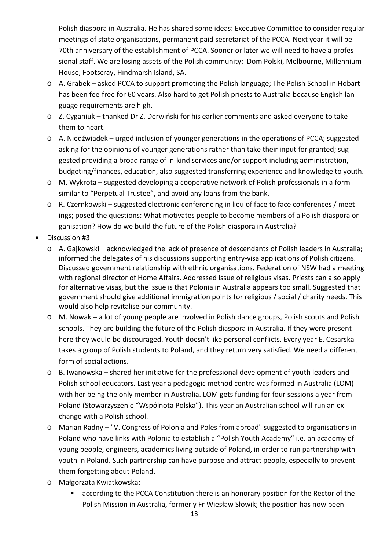Polish diaspora in Australia. He has shared some ideas: Executive Committee to consider regular meetings of state organisations, permanent paid secretariat of the PCCA. Next year it will be 70th anniversary of the establishment of PCCA. Sooner or later we will need to have a profes‐ sional staff. We are losing assets of the Polish community: Dom Polski, Melbourne, Millennium House, Footscray, Hindmarsh Island, SA.

- o A. Grabek asked PCCA to support promoting the Polish language; The Polish School in Hobart has been fee-free for 60 years. Also hard to get Polish priests to Australia because English language requirements are high.
- o Z. Cyganiuk thanked Dr Z. Derwiński for his earlier comments and asked everyone to take them to heart.
- o A. Niedźwiadek urged inclusion of younger generations in the operations of PCCA; suggested asking for the opinions of younger generations rather than take their input for granted; suggested providing a broad range of in‐kind services and/or support including administration, budgeting/finances, education, also suggested transferring experience and knowledge to youth.
- o M. Wykrota suggested developing a cooperative network of Polish professionals in a form similar to "Perpetual Trustee", and avoid any loans from the bank.
- o R. Czernkowski suggested electronic conferencing in lieu of face to face conferences / meet‐ ings; posed the questions: What motivates people to become members of a Polish diaspora or‐ ganisation? How do we build the future of the Polish diaspora in Australia?
- Discussion #3
	- o A. Gajkowski acknowledged the lack of presence of descendants of Polish leaders in Australia; informed the delegates of his discussions supporting entry‐visa applications of Polish citizens. Discussed government relationship with ethnic organisations. Federation of NSW had a meeting with regional director of Home Affairs. Addressed issue of religious visas. Priests can also apply for alternative visas, but the issue is that Polonia in Australia appears too small. Suggested that government should give additional immigration points for religious / social / charity needs. This would also help revitalise our community.
	- o M. Nowak a lot of young people are involved in Polish dance groups, Polish scouts and Polish schools. They are building the future of the Polish diaspora in Australia. If they were present here they would be discouraged. Youth doesn't like personal conflicts. Every year E. Cesarska takes a group of Polish students to Poland, and they return very satisfied. We need a different form of social actions.
	- o B. Iwanowska shared her initiative for the professional development of youth leaders and Polish school educators. Last year a pedagogic method centre was formed in Australia (LOM) with her being the only member in Australia. LOM gets funding for four sessions a year from Poland (Stowarzyszenie "Wspólnota Polska"). This year an Australian school will run an ex‐ change with a Polish school.
	- o Marian Radny "V. Congress of Polonia and Poles from abroad" suggested to organisations in Poland who have links with Polonia to establish a "Polish Youth Academy" i.e. an academy of young people, engineers, academics living outside of Poland, in order to run partnership with youth in Poland. Such partnership can have purpose and attract people, especially to prevent them forgetting about Poland.
	- o Małgorzata Kwiatkowska:
		- according to the PCCA Constitution there is an honorary position for the Rector of the Polish Mission in Australia, formerly Fr Wiesław Słowik; the position has now been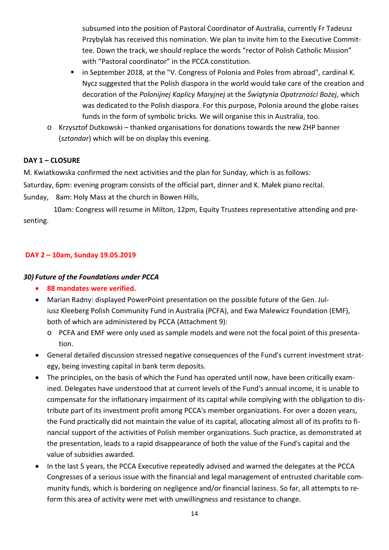subsumed into the position of Pastoral Coordinator of Australia, currently Fr Tadeusz Przybylak has received this nomination. We plan to invite him to the Executive Commit‐ tee. Down the track, we should replace the words "rector of Polish Catholic Mission" with "Pastoral coordinator" in the PCCA constitution.

- **I** in September 2018, at the "V. Congress of Polonia and Poles from abroad", cardinal K. Nycz suggested that the Polish diaspora in the world would take care of the creation and decoration of the *Polonijnej Kaplicy Maryjnej* at the *Świątynia Opatrzności Bożej*, which was dedicated to the Polish diaspora. For this purpose, Polonia around the globe raises funds in the form of symbolic bricks. We will organise this in Australia, too.
- o Krzysztof Dutkowski thanked organisations for donations towards the new ZHP banner (*sztandar*) which will be on display this evening.

### **DAY 1 – CLOSURE**

M. Kwiatkowska confirmed the next activities and the plan for Sunday, which is as follows:

Saturday, 6pm: evening program consists of the official part, dinner and K. Małek piano recital.

Sunday, 8am: Holy Mass at the church in Bowen Hills,

 10am: Congress will resume in Milton, 12pm, Equity Trustees representative attending and pre‐ senting.

### **DAY 2 – 10am, Sunday 19.05.2019**

#### *30) Future of the Foundations under PCCA*

- **88 mandates were verified.**
- Marian Radny: displayed PowerPoint presentation on the possible future of the Gen. Juliusz Kleeberg Polish Community Fund in Australia (PCFA), and Ewa Malewicz Foundation (EMF), both of which are administered by PCCA (Attachment 9):
	- o PCFA and EMF were only used as sample models and were not the focal point of this presenta‐ tion.
- General detailed discussion stressed negative consequences of the Fund's current investment strategy, being investing capital in bank term deposits.
- The principles, on the basis of which the Fund has operated until now, have been critically examined. Delegates have understood that at current levels of the Fund's annual income, it is unable to compensate for the inflationary impairment of its capital while complying with the obligation to dis‐ tribute part of its investment profit among PCCA's member organizations. For over a dozen years, the Fund practically did not maintain the value of its capital, allocating almost all of its profits to fi‐ nancial support of the activities of Polish member organizations. Such practice, as demonstrated at the presentation, leads to a rapid disappearance of both the value of the Fund's capital and the value of subsidies awarded.
- In the last 5 years, the PCCA Executive repeatedly advised and warned the delegates at the PCCA Congresses of a serious issue with the financial and legal management of entrusted charitable com‐ munity funds, which is bordering on negligence and/or financial laziness. So far, all attempts to re‐ form this area of activity were met with unwillingness and resistance to change.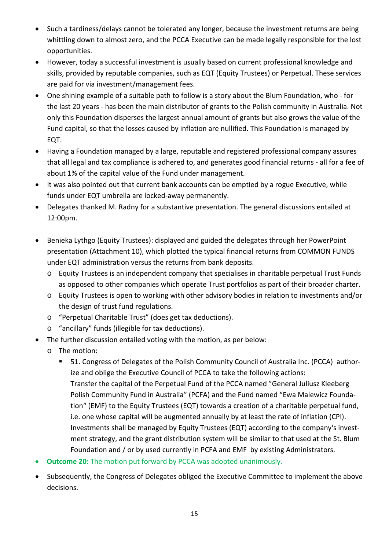- Such a tardiness/delays cannot be tolerated any longer, because the investment returns are being whittling down to almost zero, and the PCCA Executive can be made legally responsible for the lost opportunities.
- However, today a successful investment is usually based on current professional knowledge and skills, provided by reputable companies, such as EQT (Equity Trustees) or Perpetual. These services are paid for via investment/management fees.
- One shining example of a suitable path to follow is a story about the Blum Foundation, who ‐ for the last 20 years ‐ has been the main distributor of grants to the Polish community in Australia. Not only this Foundation disperses the largest annual amount of grants but also grows the value of the Fund capital, so that the losses caused by inflation are nullified. This Foundation is managed by EQT.
- Having a Foundation managed by a large, reputable and registered professional company assures that all legal and tax compliance is adhered to, and generates good financial returns ‐ all for a fee of about 1% of the capital value of the Fund under management.
- It was also pointed out that current bank accounts can be emptied by a rogue Executive, while funds under EQT umbrella are locked‐away permanently.
- Delegates thanked M. Radny for a substantive presentation. The general discussions entailed at 12:00pm.
- Benieka Lythgo (Equity Trustees): displayed and guided the delegates through her PowerPoint presentation (Attachment 10), which plotted the typical financial returns from COMMON FUNDS under EQT administration versus the returns from bank deposits.
	- o Equity Trustees is an independent company that specialises in charitable perpetual Trust Funds as opposed to other companies which operate Trust portfolios as part of their broader charter.
	- o Equity Trustees is open to working with other advisory bodies in relation to investments and/or the design of trust fund regulations.
	- o "Perpetual Charitable Trust" (does get tax deductions).
	- o "ancillary" funds (illegible for tax deductions).
- The further discussion entailed voting with the motion, as per below:
	- o The motion:
		- 51. Congress of Delegates of the Polish Community Council of Australia Inc. (PCCA) authorize and oblige the Executive Council of PCCA to take the following actions: Transfer the capital of the Perpetual Fund of the PCCA named "General Juliusz Kleeberg Polish Community Fund in Australia" (PCFA) and the Fund named "Ewa Malewicz Founda‐ tion" (EMF) to the Equity Trustees (EQT) towards a creation of a charitable perpetual fund, i.e. one whose capital will be augmented annually by at least the rate of inflation (CPI). Investments shall be managed by Equity Trustees (EQT) according to the company's invest‐ ment strategy, and the grant distribution system will be similar to that used at the St. Blum Foundation and / or by used currently in PCFA and EMF by existing Administrators.
- **Outcome 20:** The motion put forward by PCCA was adopted unanimously.
- Subsequently, the Congress of Delegates obliged the Executive Committee to implement the above decisions.